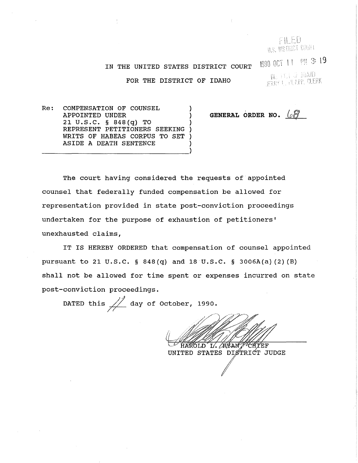FILED U.S. UISTRICT COURT

IN THE UNITED STATES DISTRICT COURT

 $\,\,$  FOR THE DISTRICT OF IDAHO  $\,\,$  in the set  $\,\,$  in the set  $\,\,$  in  $\,\,$  in  $\,\,$  in  $\,\,$  in  $\,$  in  $\,\,$  in  $\,$  in  $\,$  in  $\,$  in  $\,$  in  $\,$  in  $\,$  in  $\,$  in  $\,$  in  $\,$  in  $\,$  in  $\,$  in  $\,$  in  $\,$  i

1990 OCT 11 PM 3:19

Re: COMPENSATION OF COUNSEL APPOINTED UNDER 21 U.S.C. § 848(q) TO REPRESENT PETITIONERS SEEKING WRITS OF HABEAS CORPUS TO SET ASIDE A DEATH SENTENCE

GENERAL ORDER NO.  $\sqrt{2}$ 

The court having considered the requests of appointed counsel that federally funded compensation be allowed for representation provided in state post-conviction proceedings undertaken for the purpose of exhaustion of petitioners' unexhausted claims,

IT IS HEREBY ORDERED that compensation of counsel appointed pursuant to 21 U.S.C. § 848(q) and 18 U.S.C. § 3006A(a)(2)(B) shall not be allowed for time spent or expenses incurred on state post-conviction proceedings.

DATED this  $\frac{1}{2}$  day of October, 1990.

HAROLD L. AXANT **CHYEF** 

UNITED STATES DISTRICT JUDGE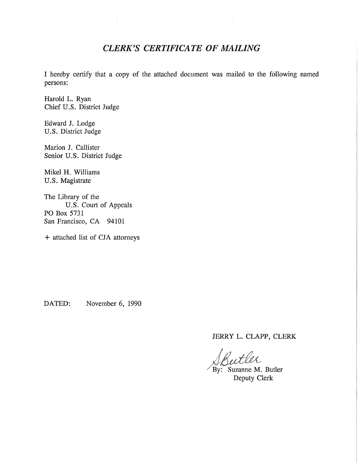## *CLERK'S CERTIFICATE OF MAILING*

 $\sim 1$ 

I hereby certify that a copy of the attached document was mailed to the following named persons:

Harold L. Ryan Chief U.S. District Judge

Edward J. Lodge U.S. District Judge

Marion J. Callister Senior U.S. District Judge

Mikel H. Williams U.S. Magistrate

The Library of the U.S. Court of Appeals PO Box 5731 San Francisco, CA 94101

+ attached list of CJA attorneys

DATED: November 6, 1990

JERRY L. CLAPP, CLERK

By: Suzanne M. Butler Deputy Clerk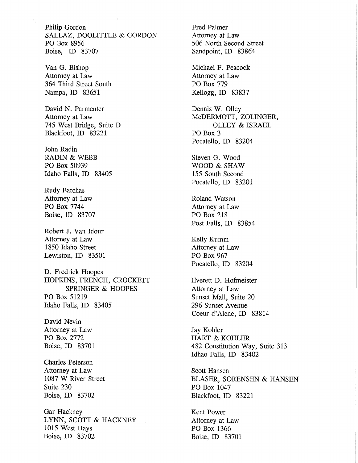Philip Gordon SALLAZ, DOOLITTLE & GORDON PO Box 8956 Boise, ID 83707

Van G. Bishop Attorney at Law 364 Third Street South Nampa, ID 83651

David N. Parmenter Attorney at Law 745 West Bridge, Suite D Blackfoot, ID 83221

John Radin RADIN & WEBB PO Box 50939 Idaho Falls, ID 83405

Rudy Barchas Attorney at Law PO Box 7744 Boise, ID 83707

Robert J. Van Idour Attorney at Law 1850 Idaho Street Lewiston, ID 83501

D. Fredrick Hoopes HOPKINS, FRENCH, CROCKETT SPRINGER & HOOPES PO Box 51219 Idaho Falls, ID 83405

David Nevin Attorney at Law PO Box 2772 Boise, ID 83701

Charles Peterson Attorney at Law 1087 W River Street Suite 230 Boise, ID 83702

Gar Hackney LYNN, SCOTT & HACKNEY 1015 West Hays Boise, ID 83702

Fred Palmer Attorney at Law 506 North Second Street Sandpoint, ID 83864 Michael F. Peacock Attorney at Law

PO Box 779 Kellogg, ID 83837

Dennis W. Olley McDERMOTT, ZOLINGER, OLLEY & ISRAEL PO Box 3 Pocatello, ID 83204

Steven G. Wood WOOD & SHAW 155 South Second Pocatello, ID 83201

Roland Watson Attorney at Law PO Box 218 Post Falls, ID 83854

Kelly Kumm Attorney at Law PO Box 967 Pocatello, ID 83204

Everett D. Hofmeister Attorney at Law Sunset Mall, Suite 20 296 Sunset Avenue Coeur d'Alene, ID 83814

Jay Kohler HART & KOHLER 482 Constitution Way, Suite 313 Idhao Falls, ID 83402

Scott Hansen BLASER, SORENSEN & HANSEN PO Box 1047 Blackfoot, ID 83221

Kent Power Attorney at Law PO Box 1366 Boise, ID 83701